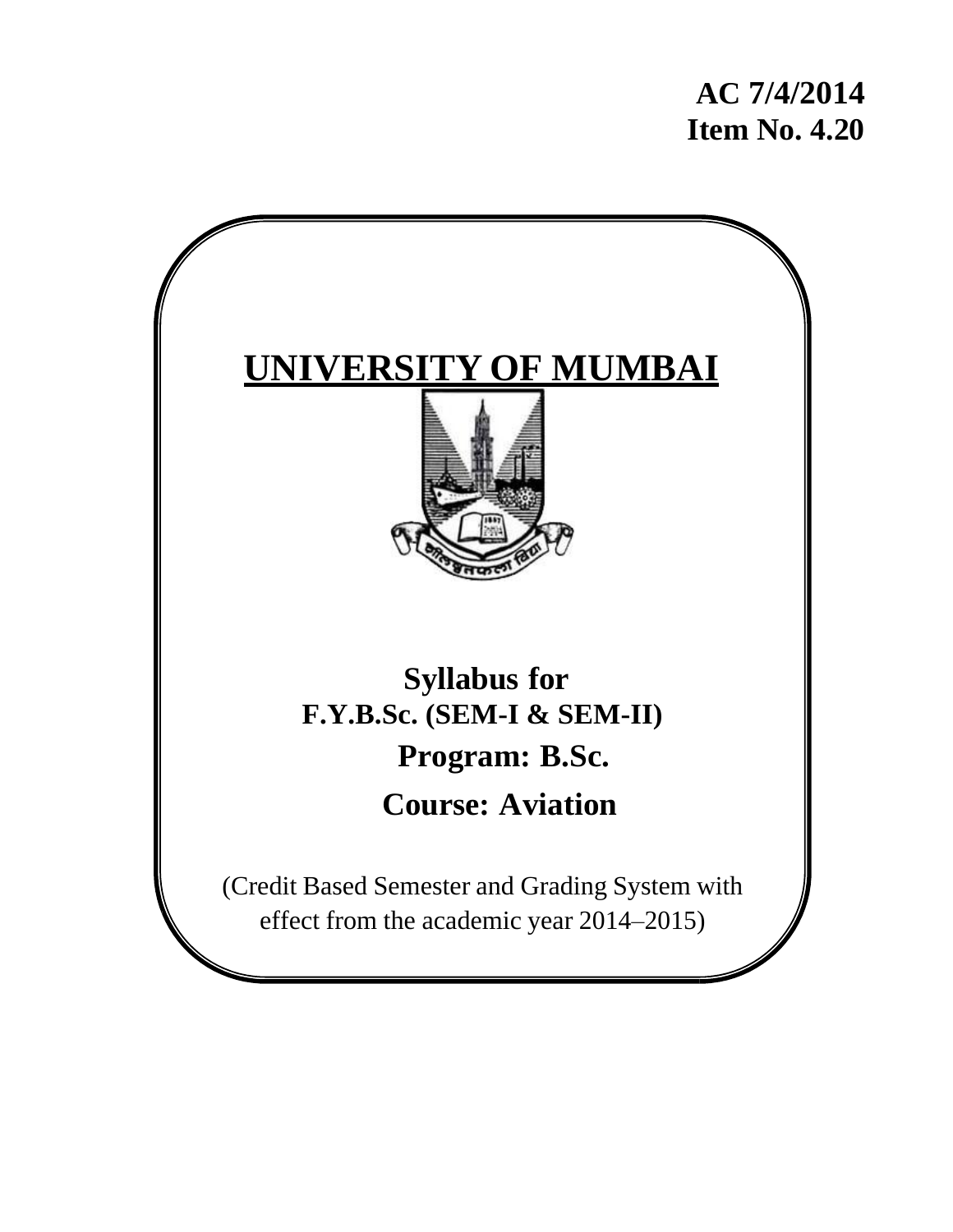**AC 7/4/2014 Item No. 4.20**

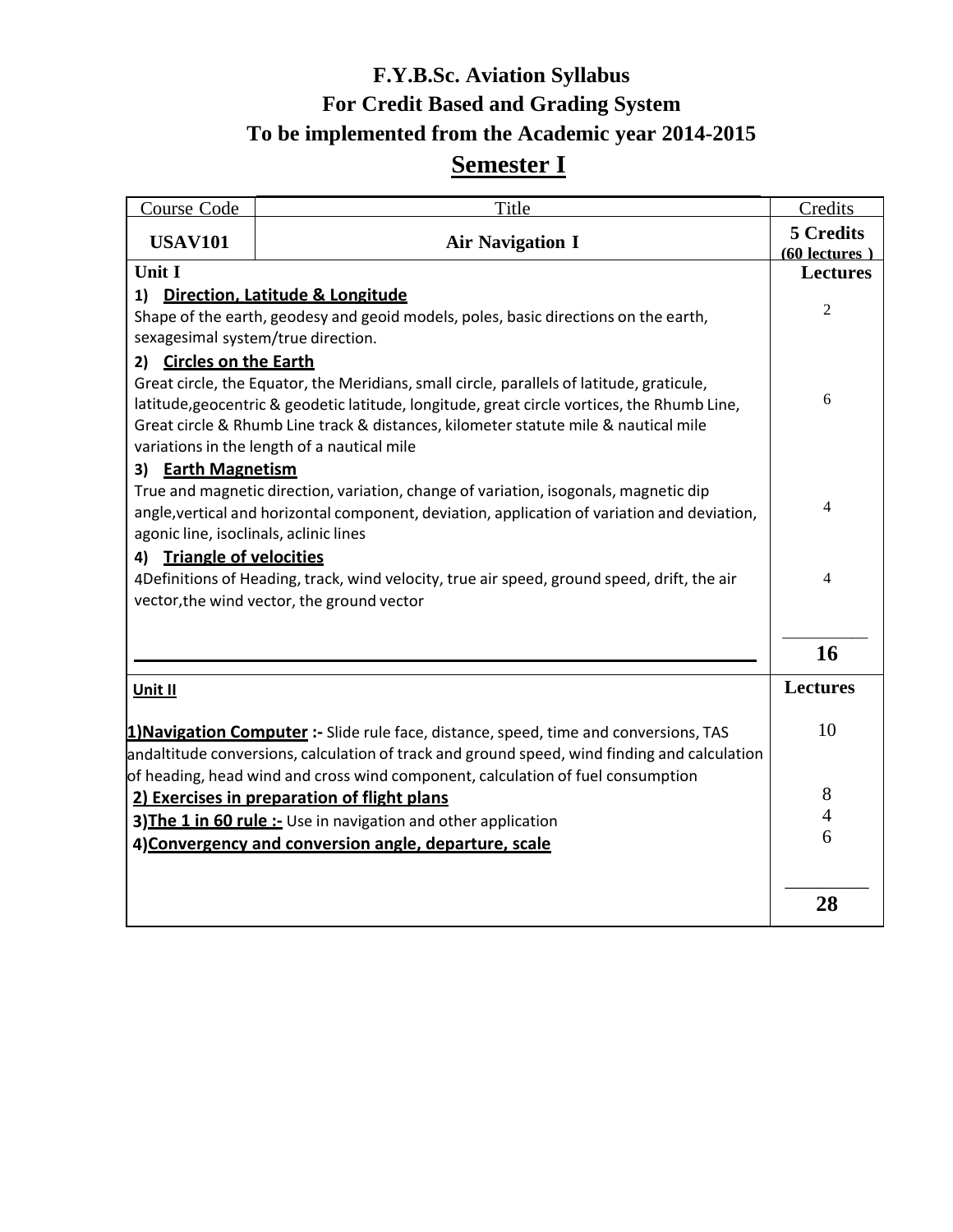# **F.Y.B.Sc. Aviation Syllabus For Credit Based and Grading System To be implemented from the Academic year 2014-2015 Semester I**

| <b>Course Code</b>                     | Title                                                                                                                                                                                                                             | Credits                      |
|----------------------------------------|-----------------------------------------------------------------------------------------------------------------------------------------------------------------------------------------------------------------------------------|------------------------------|
| <b>USAV101</b>                         | <b>Air Navigation I</b>                                                                                                                                                                                                           | 5 Credits<br>$(60$ lectures) |
| Unit I                                 |                                                                                                                                                                                                                                   | <b>Lectures</b>              |
| 1)                                     | Direction, Latitude & Longitude                                                                                                                                                                                                   |                              |
| sexagesimal system/true direction.     | Shape of the earth, geodesy and geoid models, poles, basic directions on the earth,                                                                                                                                               | $\overline{2}$               |
| 2) Circles on the Earth                |                                                                                                                                                                                                                                   |                              |
|                                        | Great circle, the Equator, the Meridians, small circle, parallels of latitude, graticule,                                                                                                                                         |                              |
|                                        | latitude, geocentric & geodetic latitude, longitude, great circle vortices, the Rhumb Line,<br>Great circle & Rhumb Line track & distances, kilometer statute mile & nautical mile<br>variations in the length of a nautical mile | 6                            |
| <b>Earth Magnetism</b><br>3)           |                                                                                                                                                                                                                                   |                              |
|                                        | True and magnetic direction, variation, change of variation, isogonals, magnetic dip                                                                                                                                              |                              |
| agonic line, isoclinals, aclinic lines | angle, vertical and horizontal component, deviation, application of variation and deviation,                                                                                                                                      | 4                            |
| <b>Triangle of velocities</b><br>4)    |                                                                                                                                                                                                                                   |                              |
|                                        | 4Definitions of Heading, track, wind velocity, true air speed, ground speed, drift, the air                                                                                                                                       | 4                            |
|                                        | vector, the wind vector, the ground vector                                                                                                                                                                                        |                              |
|                                        |                                                                                                                                                                                                                                   | 16                           |
| Unit II                                |                                                                                                                                                                                                                                   | <b>Lectures</b>              |
|                                        | 1) Navigation Computer :- Slide rule face, distance, speed, time and conversions, TAS                                                                                                                                             | 10                           |
|                                        | andaltitude conversions, calculation of track and ground speed, wind finding and calculation                                                                                                                                      |                              |
|                                        | of heading, head wind and cross wind component, calculation of fuel consumption                                                                                                                                                   | 8                            |
|                                        | 2) Exercises in preparation of flight plans<br>3) The 1 in 60 rule :- Use in navigation and other application                                                                                                                     | $\overline{4}$               |
|                                        | 4) Convergency and conversion angle, departure, scale                                                                                                                                                                             | 6                            |
|                                        |                                                                                                                                                                                                                                   |                              |
|                                        |                                                                                                                                                                                                                                   | 28                           |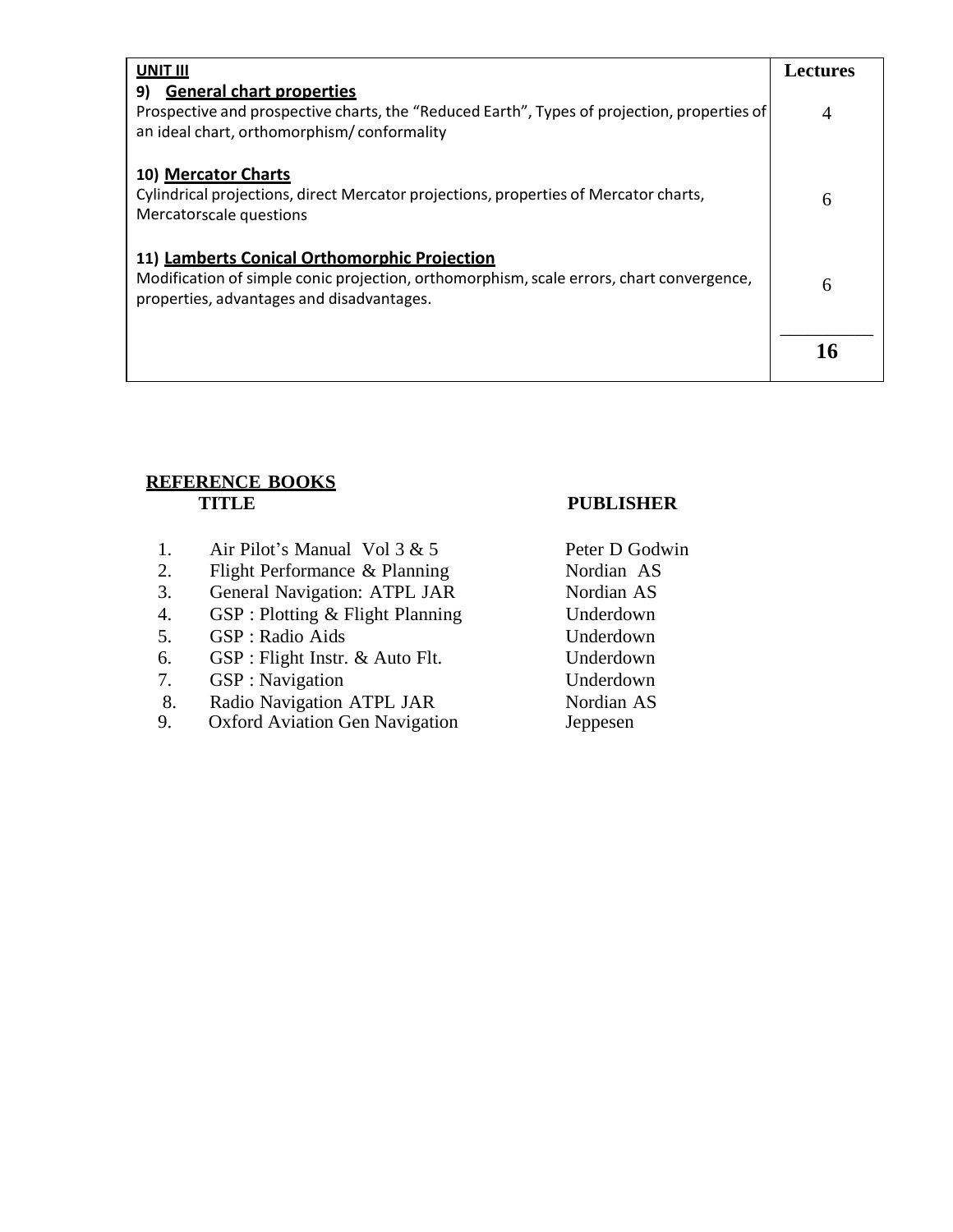| UNIT III                                                                                                                                                                              | <b>Lectures</b> |
|---------------------------------------------------------------------------------------------------------------------------------------------------------------------------------------|-----------------|
| <b>General chart properties</b><br>9)<br>Prospective and prospective charts, the "Reduced Earth", Types of projection, properties of<br>an ideal chart, orthomorphism/conformality    | 4               |
| 10) Mercator Charts<br>Cylindrical projections, direct Mercator projections, properties of Mercator charts,<br>Mercatorscale questions                                                | 6               |
| 11) Lamberts Conical Orthomorphic Projection<br>Modification of simple conic projection, orthomorphism, scale errors, chart convergence,<br>properties, advantages and disadvantages. |                 |
|                                                                                                                                                                                       |                 |

# **REFERENCE BOOKS TITLE PUBLISHER**

- 1. Air Pilot's Manual Vol 3 & 5 Peter D Godwin
- 2. Flight Performance & Planning Nordian AS
- 3. General Navigation: ATPL JAR Nordian AS
- 4. GSP : Plotting & Flight Planning Underdown
- 5. GSP : Radio Aids Underdown
- 6. GSP : Flight Instr. & Auto Flt. Underdown
- 7. GSP : Navigation Underdown
- 8. Radio Navigation ATPL JAR
- 9. Oxford Aviation Gen Navigation

Nordian AS Jeppesen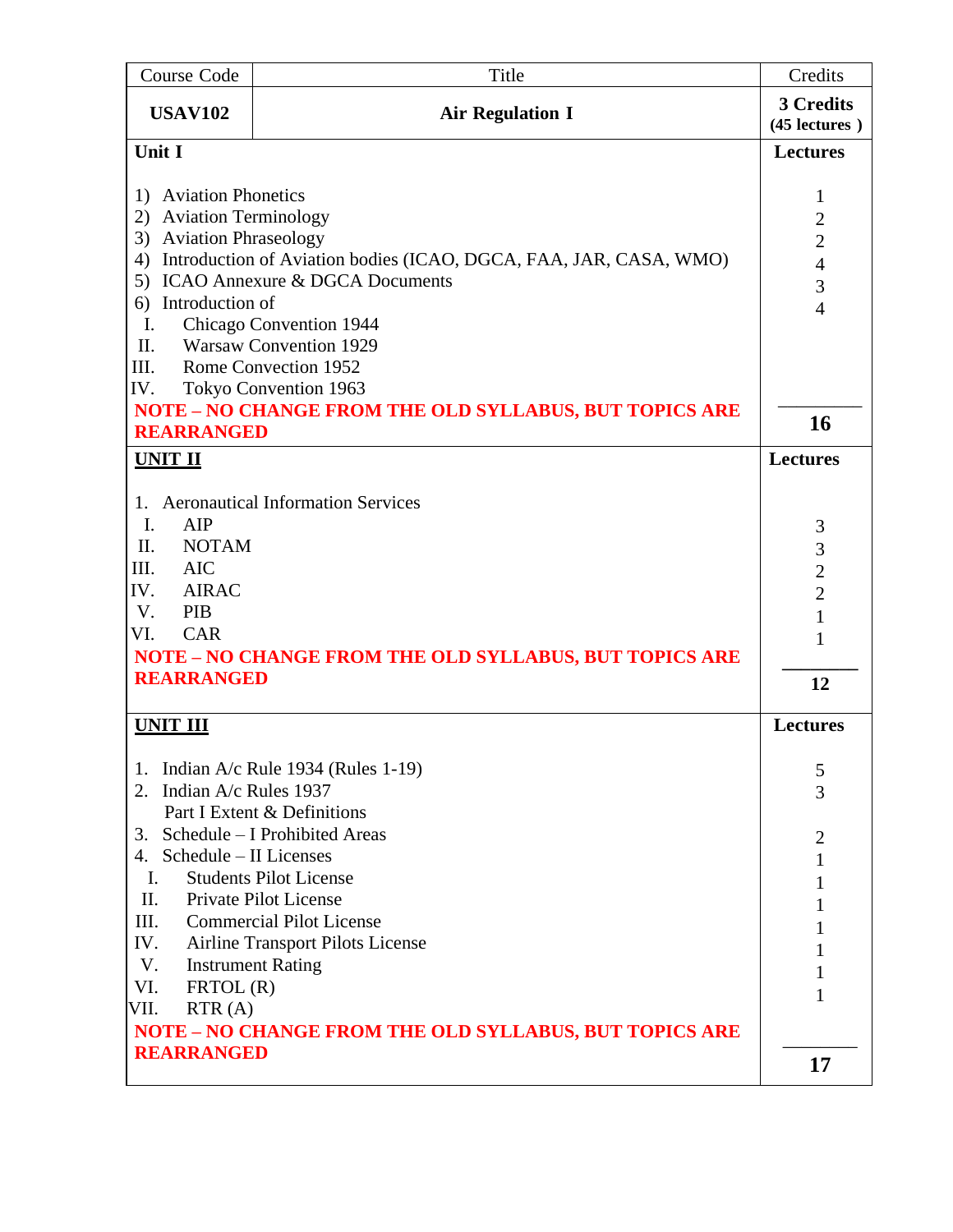| Course Code                                            | Title                                                             | Credits                    |
|--------------------------------------------------------|-------------------------------------------------------------------|----------------------------|
| <b>USAV102</b>                                         | <b>Air Regulation I</b>                                           | 3 Credits<br>(45 lectures) |
| Unit I                                                 |                                                                   | <b>Lectures</b>            |
|                                                        |                                                                   |                            |
| <b>Aviation Phonetics</b><br>1)                        |                                                                   | $\mathbf{1}$               |
| 2) Aviation Terminology                                |                                                                   | $\overline{2}$             |
| 3) Aviation Phraseology                                |                                                                   | $\overline{c}$             |
| 4)                                                     | Introduction of Aviation bodies (ICAO, DGCA, FAA, JAR, CASA, WMO) | $\overline{4}$             |
|                                                        | 5) ICAO Annexure & DGCA Documents                                 | 3                          |
| Introduction of<br>6)<br>I.<br>Chicago Convention 1944 |                                                                   | $\overline{4}$             |
| II.                                                    | <b>Warsaw Convention 1929</b>                                     |                            |
| III.                                                   | Rome Convection 1952                                              |                            |
| IV.                                                    | Tokyo Convention 1963                                             |                            |
|                                                        | <b>NOTE - NO CHANGE FROM THE OLD SYLLABUS, BUT TOPICS ARE</b>     |                            |
| <b>REARRANGED</b>                                      |                                                                   | 16                         |
| <b>UNIT II</b>                                         |                                                                   | <b>Lectures</b>            |
|                                                        |                                                                   |                            |
|                                                        | 1. Aeronautical Information Services                              |                            |
| I.<br>AIP                                              |                                                                   | 3                          |
| II.<br><b>NOTAM</b>                                    |                                                                   | 3                          |
| III.<br><b>AIC</b>                                     |                                                                   | $\overline{c}$             |
| IV.<br><b>AIRAC</b>                                    |                                                                   | $\overline{2}$             |
| V.<br>PIB<br><b>CAR</b>                                |                                                                   | $\mathbf{1}$               |
| VI.                                                    |                                                                   | 1                          |
| <b>REARRANGED</b>                                      | <b>NOTE - NO CHANGE FROM THE OLD SYLLABUS, BUT TOPICS ARE</b>     |                            |
|                                                        |                                                                   | 12                         |
| <b>UNIT III</b>                                        |                                                                   | <b>Lectures</b>            |
| 1.                                                     | Indian $A/c$ Rule 1934 (Rules 1-19)                               | 5                          |
| Indian A/c Rules 1937<br>2.                            |                                                                   | 3                          |
|                                                        | Part I Extent & Definitions                                       |                            |
| 3.                                                     | Schedule - I Prohibited Areas                                     | $\overline{2}$             |
| Schedule – II Licenses<br>4.                           |                                                                   | 1                          |
| $\mathbf{I}$ .                                         | <b>Students Pilot License</b>                                     | 1                          |
| II.                                                    | Private Pilot License                                             | 1                          |
| Ш.                                                     | <b>Commercial Pilot License</b>                                   | 1                          |
| IV.                                                    | <b>Airline Transport Pilots License</b>                           |                            |
| V.                                                     | <b>Instrument Rating</b>                                          | 1                          |
| VI.<br>FRTOL(R)                                        |                                                                   | 1                          |
| VII.<br>RTR(A)                                         |                                                                   |                            |
|                                                        | NOTE - NO CHANGE FROM THE OLD SYLLABUS, BUT TOPICS ARE            |                            |
| <b>REARRANGED</b>                                      |                                                                   | 17                         |
|                                                        |                                                                   |                            |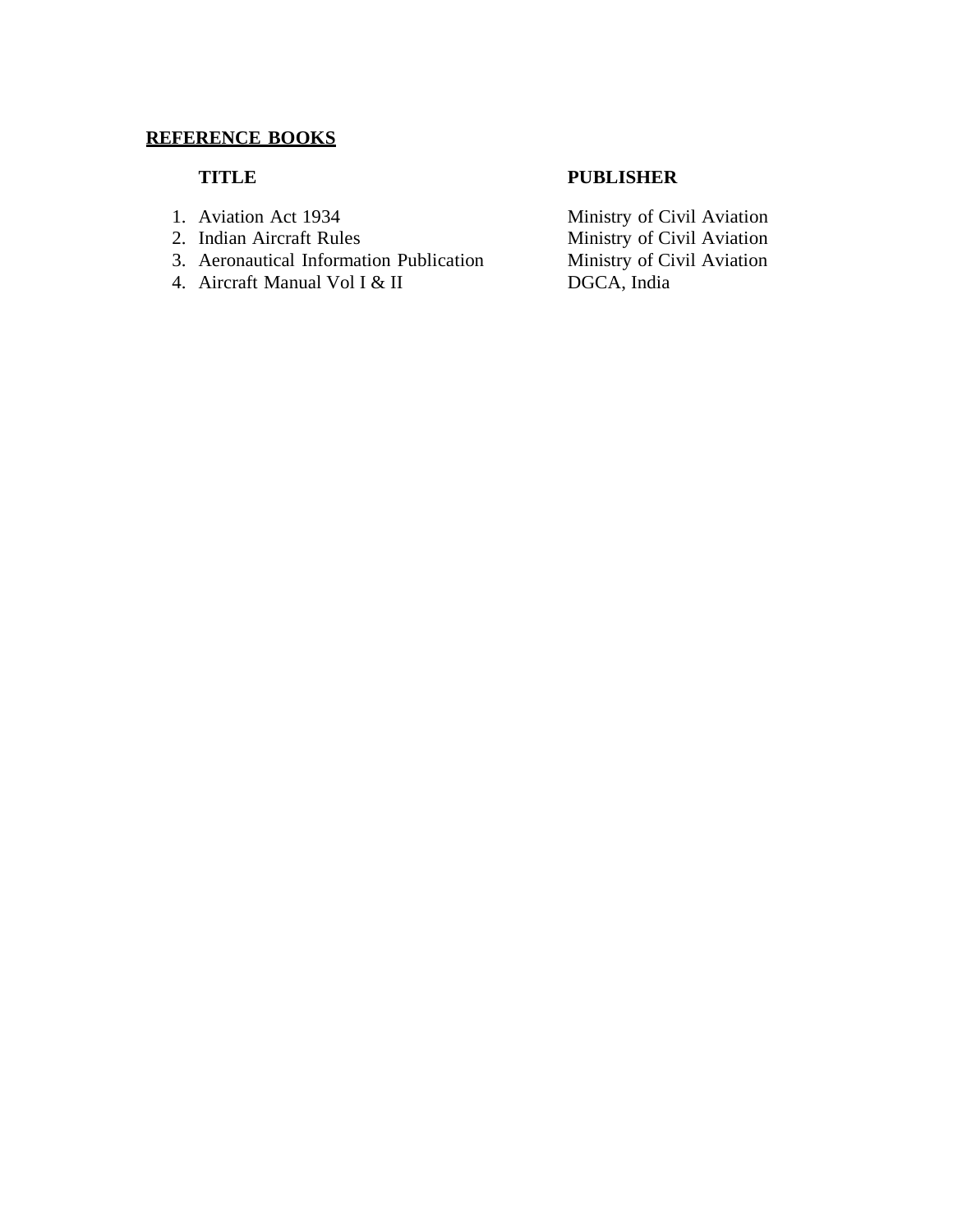- 
- 
- 3. Aeronautical Information Publication Ministry of Ci<br>4. Aircraft Manual Vol I & II DGCA, India
- 4. Aircraft Manual Vol I  $&$  II

### **TITLE PUBLISHER**

1. Aviation Act 1934 Ministry of Civil Aviation 2. Indian Aircraft Rules<br>
2. Aeronautical Information Publication<br>
2. Ministry of Civil Aviation<br>
2. Ministry of Civil Aviation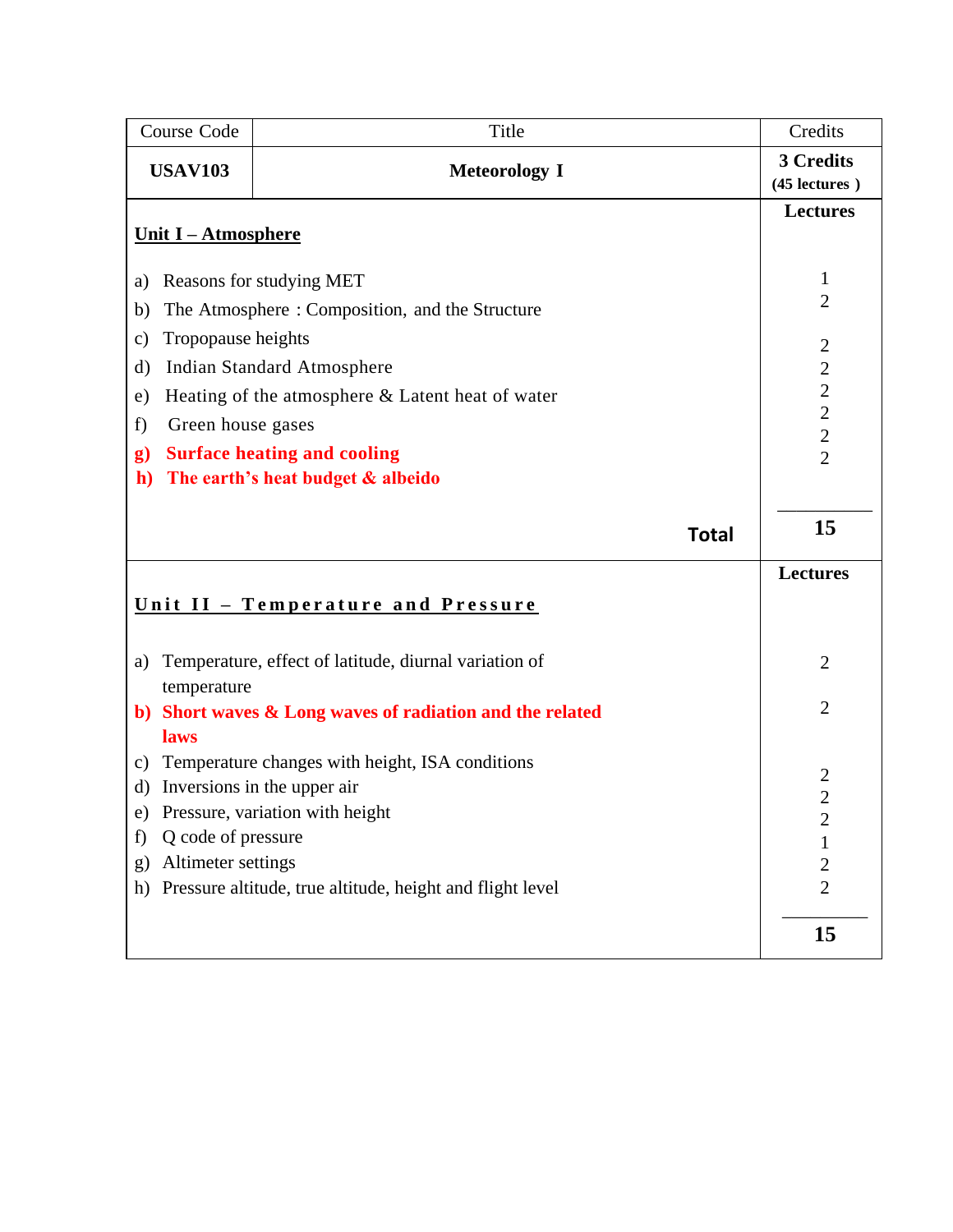| Course Code                                      | Title                                                     | Credits                        |
|--------------------------------------------------|-----------------------------------------------------------|--------------------------------|
| <b>USAV103</b><br><b>Meteorology I</b>           |                                                           | 3 Credits<br>(45 lectures)     |
|                                                  |                                                           | <b>Lectures</b>                |
| Unit I - Atmosphere                              |                                                           |                                |
| a)                                               | Reasons for studying MET                                  | 1                              |
| b)                                               | The Atmosphere: Composition, and the Structure            | $\overline{2}$                 |
| Tropopause heights<br>$\mathbf{c})$              |                                                           |                                |
| d)                                               | <b>Indian Standard Atmosphere</b>                         | $\overline{2}$<br>$\mathbf{2}$ |
| e)                                               | Heating of the atmosphere & Latent heat of water          | $\sqrt{2}$                     |
| Green house gases<br>f)                          |                                                           | $\overline{2}$                 |
| $\mathbf{g}$                                     | <b>Surface heating and cooling</b>                        | $\overline{2}$                 |
| $\mathbf{h}$                                     | The earth's heat budget & albeido                         | $\overline{2}$                 |
|                                                  |                                                           |                                |
|                                                  | <b>Total</b>                                              | 15                             |
|                                                  |                                                           | <b>Lectures</b>                |
| <u><b>Unit II - Temperature and Pressure</b></u> |                                                           |                                |
|                                                  |                                                           |                                |
| a)                                               | Temperature, effect of latitude, diurnal variation of     | $\overline{2}$                 |
| temperature                                      |                                                           |                                |
|                                                  | b) Short waves & Long waves of radiation and the related  | $\overline{2}$                 |
| laws                                             |                                                           |                                |
| c)                                               | Temperature changes with height, ISA conditions           | $\overline{c}$                 |
| d)                                               | Inversions in the upper air                               | $\overline{2}$                 |
|                                                  | e) Pressure, variation with height                        | $\overline{c}$                 |
| Q code of pressure<br>f)                         |                                                           |                                |
| Altimeter settings<br>g)                         |                                                           | $\overline{c}$                 |
| h)                                               | Pressure altitude, true altitude, height and flight level | $\overline{2}$                 |
|                                                  |                                                           | 15                             |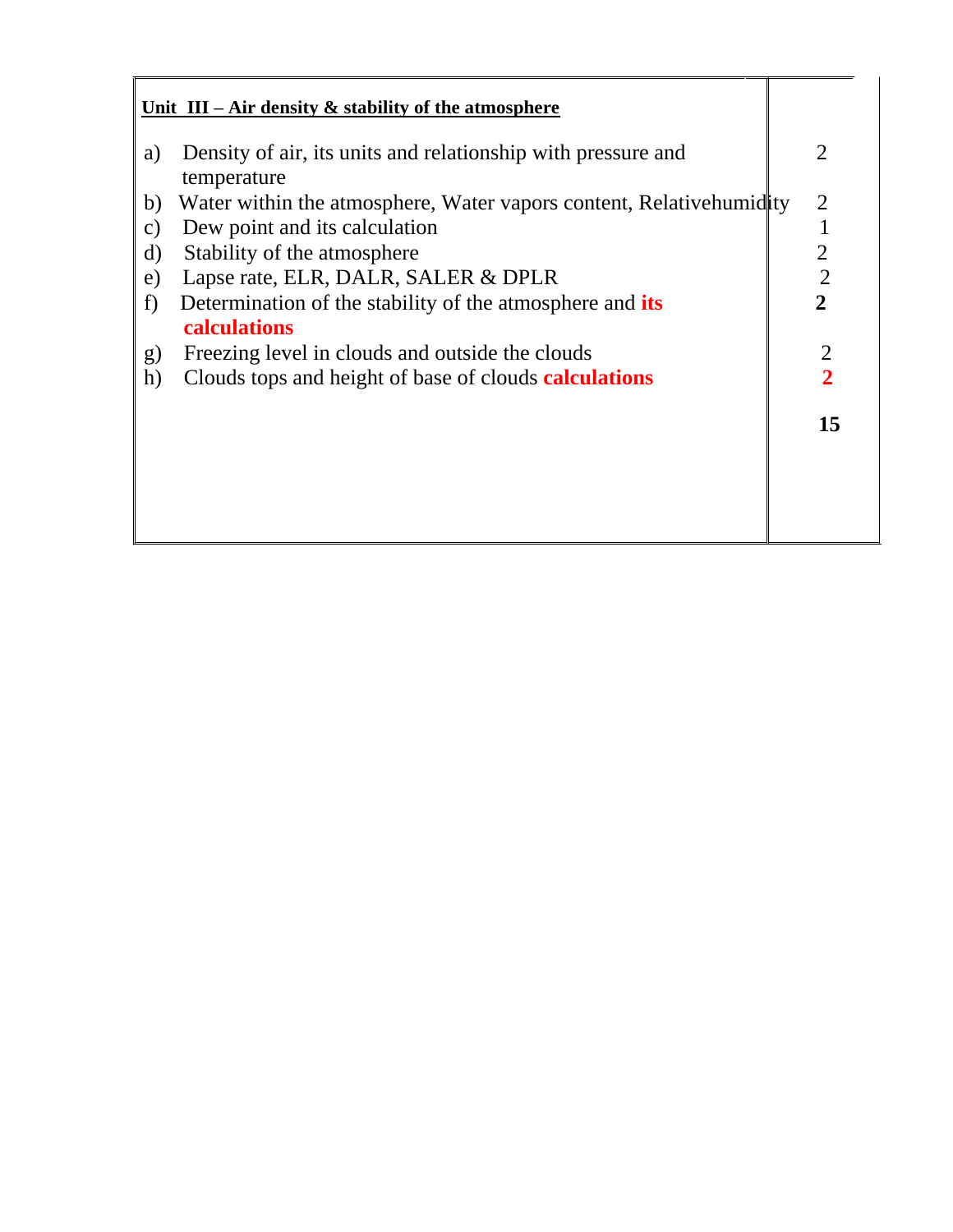| a) | Density of air, its units and relationship with pressure and<br>temperature     | $\mathcal{D}_{\mathcal{L}}$ |
|----|---------------------------------------------------------------------------------|-----------------------------|
| b) | Water within the atmosphere, Water vapors content, Relative humidity            | 2                           |
| C) | Dew point and its calculation                                                   |                             |
| d) | Stability of the atmosphere                                                     | $\overline{2}$              |
| e) | Lapse rate, ELR, DALR, SALER & DPLR                                             | $\overline{2}$              |
| f) | Determination of the stability of the atmosphere and its<br><b>calculations</b> | $\overline{2}$              |
| g) | Freezing level in clouds and outside the clouds                                 | 2                           |
| h) | Clouds tops and height of base of clouds <b>calculations</b>                    | $\overline{2}$              |
|    |                                                                                 | 15                          |
|    |                                                                                 |                             |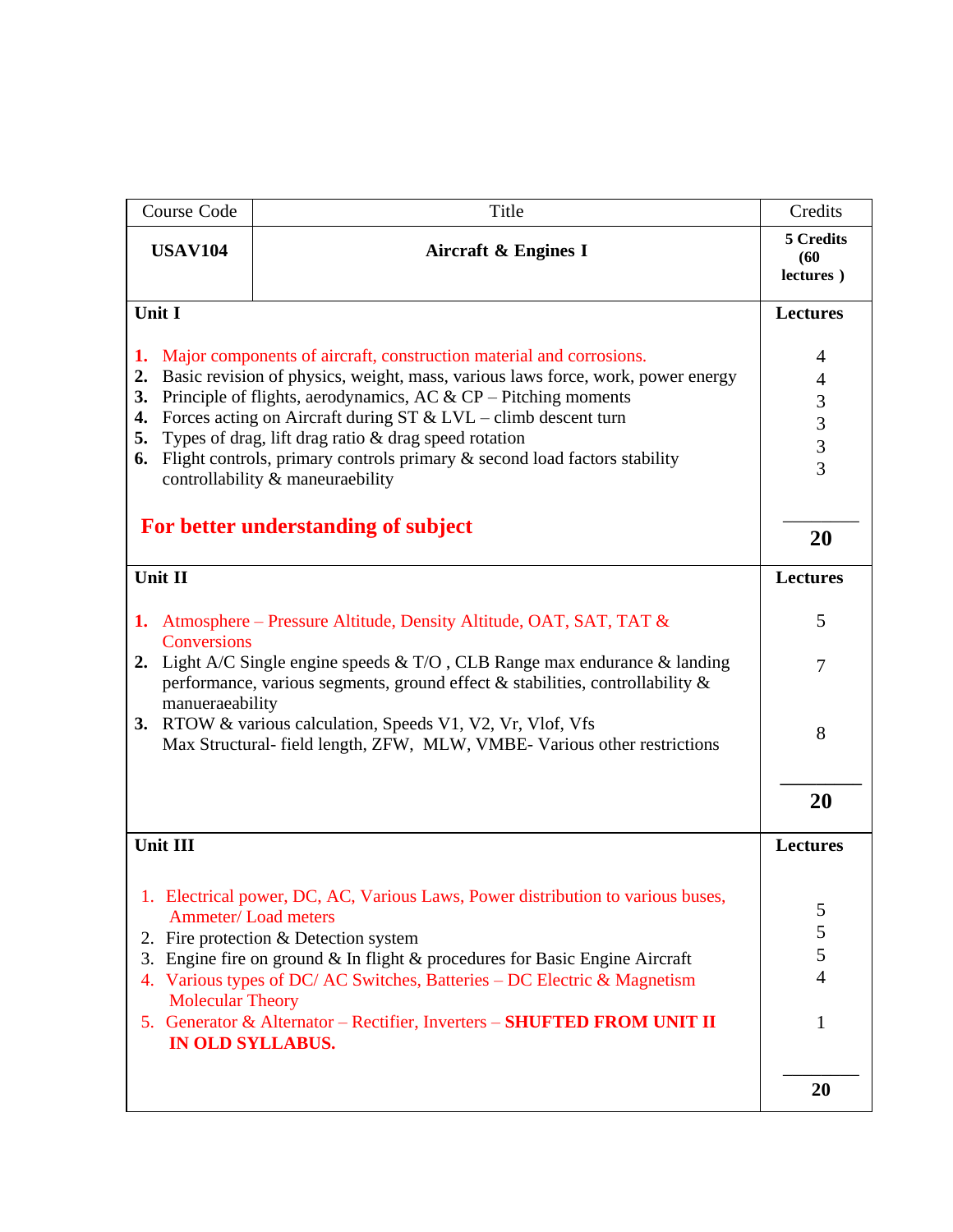| Course Code                                                                                                                                                                               | Title                                                                                                                                                                                                                                                                                                                                                                                                                                                                      | Credits                            |  |
|-------------------------------------------------------------------------------------------------------------------------------------------------------------------------------------------|----------------------------------------------------------------------------------------------------------------------------------------------------------------------------------------------------------------------------------------------------------------------------------------------------------------------------------------------------------------------------------------------------------------------------------------------------------------------------|------------------------------------|--|
| <b>USAV104</b><br><b>Aircraft &amp; Engines I</b>                                                                                                                                         |                                                                                                                                                                                                                                                                                                                                                                                                                                                                            | 5 Credits<br>(60)<br>lectures)     |  |
| Unit I                                                                                                                                                                                    |                                                                                                                                                                                                                                                                                                                                                                                                                                                                            | <b>Lectures</b>                    |  |
| 1.<br>2.<br>3.<br>4.<br>5.                                                                                                                                                                | Major components of aircraft, construction material and corrosions.<br>Basic revision of physics, weight, mass, various laws force, work, power energy<br>Principle of flights, aerodynamics, AC $&$ CP – Pitching moments<br>Forces acting on Aircraft during $ST & LVL$ – climb descent turn<br>Types of drag, lift drag ratio & drag speed rotation<br>6. Flight controls, primary controls primary & second load factors stability<br>controllability & maneuraebility |                                    |  |
|                                                                                                                                                                                           | For better understanding of subject                                                                                                                                                                                                                                                                                                                                                                                                                                        | 20                                 |  |
| Unit II                                                                                                                                                                                   |                                                                                                                                                                                                                                                                                                                                                                                                                                                                            | <b>Lectures</b>                    |  |
| 1. Atmosphere – Pressure Altitude, Density Altitude, OAT, SAT, TAT &<br>Conversions                                                                                                       |                                                                                                                                                                                                                                                                                                                                                                                                                                                                            |                                    |  |
| 2. Light A/C Single engine speeds $& T/O$ , CLB Range max endurance $&$ landing<br>performance, various segments, ground effect $\&$ stabilities, controllability $\&$<br>manueraeability |                                                                                                                                                                                                                                                                                                                                                                                                                                                                            |                                    |  |
| 3.                                                                                                                                                                                        | RTOW & various calculation, Speeds V1, V2, Vr, Vlof, Vfs<br>Max Structural- field length, ZFW, MLW, VMBE-Various other restrictions                                                                                                                                                                                                                                                                                                                                        | 8                                  |  |
|                                                                                                                                                                                           |                                                                                                                                                                                                                                                                                                                                                                                                                                                                            | 20                                 |  |
| Unit III                                                                                                                                                                                  |                                                                                                                                                                                                                                                                                                                                                                                                                                                                            | <b>Lectures</b>                    |  |
| 2.<br>3.<br><b>Molecular Theory</b>                                                                                                                                                       | 1. Electrical power, DC, AC, Various Laws, Power distribution to various buses,<br><b>Ammeter/Load meters</b><br>Fire protection & Detection system<br>Engine fire on ground & In flight & procedures for Basic Engine Aircraft<br>4. Various types of DC/ AC Switches, Batteries - DC Electric & Magnetism<br>5. Generator & Alternator - Rectifier, Inverters - SHUFTED FROM UNIT II<br><b>IN OLD SYLLABUS.</b>                                                          | 5<br>5<br>5<br>$\overline{4}$<br>1 |  |
|                                                                                                                                                                                           |                                                                                                                                                                                                                                                                                                                                                                                                                                                                            | 20                                 |  |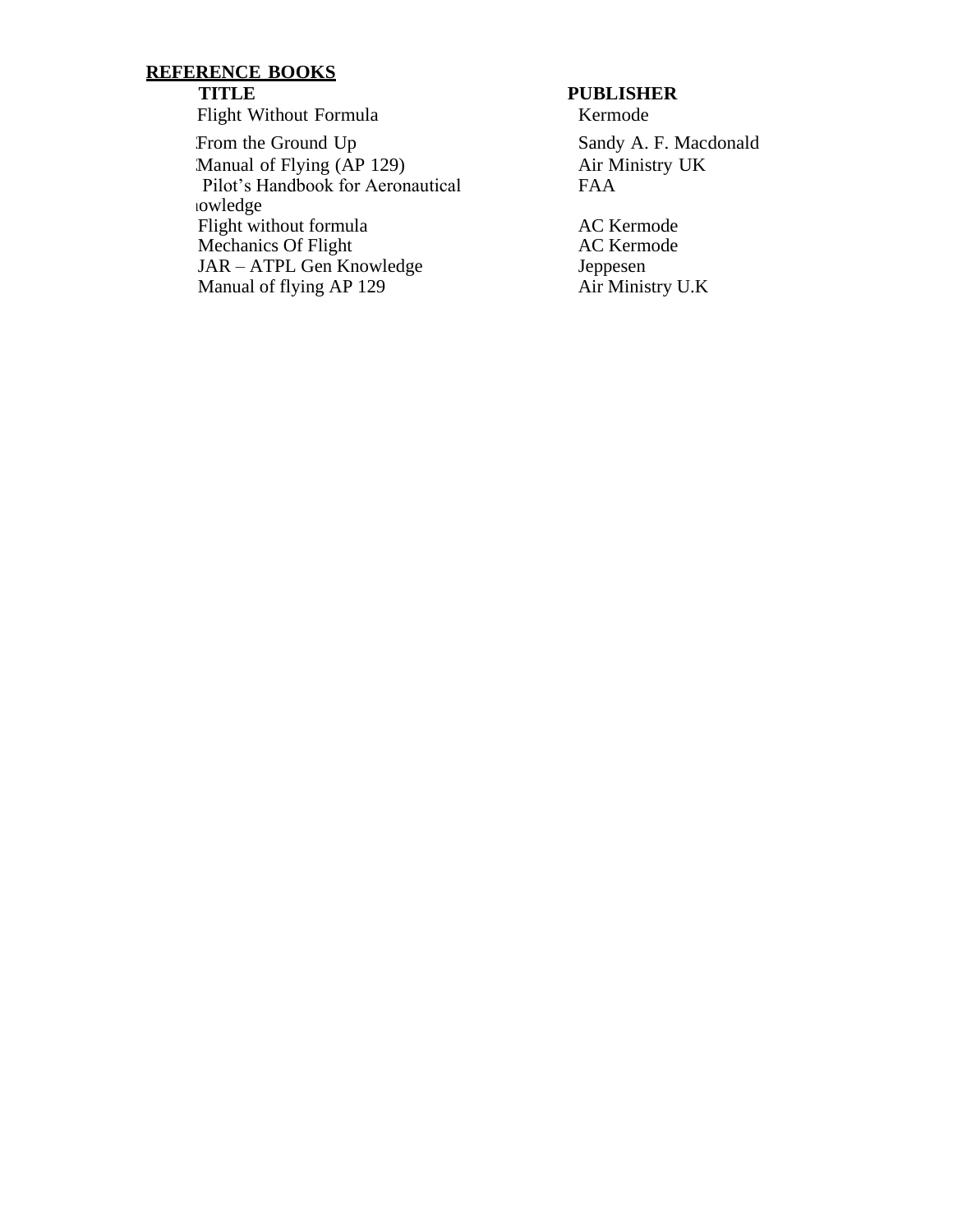F. ) ) 3 Flight Without Formula Kermode ) Manual of Flying (AP 129) Pilot's Handbook for Aeronautical owledge Flight without formula Mechanics Of Flight 7) JAR – ATPL Gen Knowledge Manual of flying AP 129

### **TITLE PUBLISHER**

Sandy A. F. Macdonald Air Ministry UK FAA

AC Kermode AC Kermode Jeppesen Air Ministry U.K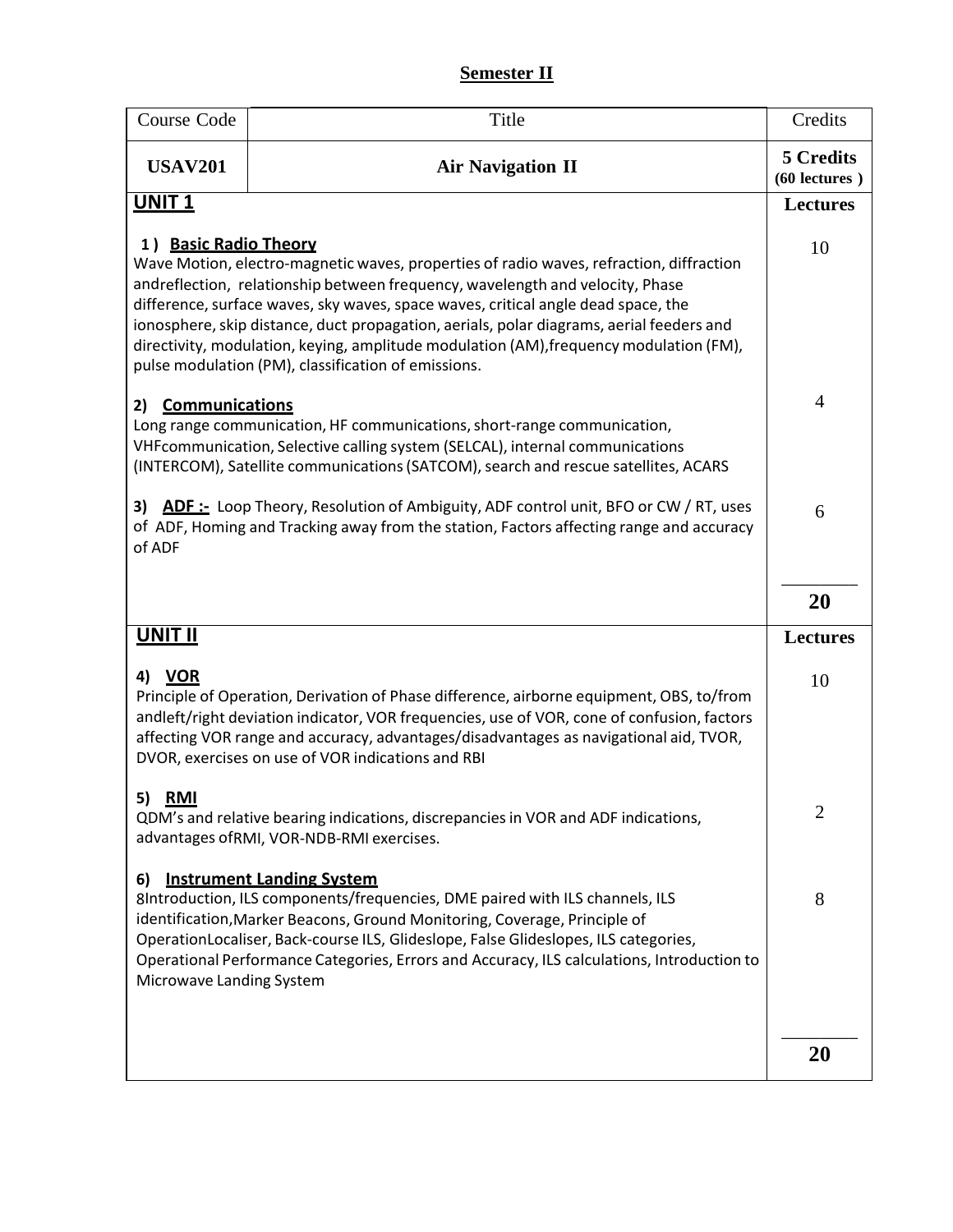# **Semester II**

| Course Code                    | Title                                                                                                                                                                                                                                                                                                                                                                                                                                                                                                      | Credits                         |
|--------------------------------|------------------------------------------------------------------------------------------------------------------------------------------------------------------------------------------------------------------------------------------------------------------------------------------------------------------------------------------------------------------------------------------------------------------------------------------------------------------------------------------------------------|---------------------------------|
| <b>USAV201</b>                 | <b>Air Navigation II</b>                                                                                                                                                                                                                                                                                                                                                                                                                                                                                   | 5 Credits<br>$(60$ lectures $)$ |
| <b>UNIT1</b>                   |                                                                                                                                                                                                                                                                                                                                                                                                                                                                                                            | <b>Lectures</b>                 |
| 1) Basic Radio Theory          | Wave Motion, electro-magnetic waves, properties of radio waves, refraction, diffraction<br>andreflection, relationship between frequency, wavelength and velocity, Phase<br>difference, surface waves, sky waves, space waves, critical angle dead space, the<br>ionosphere, skip distance, duct propagation, aerials, polar diagrams, aerial feeders and<br>directivity, modulation, keying, amplitude modulation (AM), frequency modulation (FM),<br>pulse modulation (PM), classification of emissions. | 10                              |
| <b>Communications</b><br>2)    | Long range communication, HF communications, short-range communication,<br>VHF communication, Selective calling system (SELCAL), internal communications<br>(INTERCOM), Satellite communications (SATCOM), search and rescue satellites, ACARS                                                                                                                                                                                                                                                             | 4                               |
| 3)<br>of ADF                   | <b>ADF:</b> Loop Theory, Resolution of Ambiguity, ADF control unit, BFO or CW / RT, uses<br>of ADF, Homing and Tracking away from the station, Factors affecting range and accuracy                                                                                                                                                                                                                                                                                                                        | 6                               |
|                                |                                                                                                                                                                                                                                                                                                                                                                                                                                                                                                            | 20                              |
| <u>UNIT II</u>                 |                                                                                                                                                                                                                                                                                                                                                                                                                                                                                                            | <b>Lectures</b>                 |
| 4) VOR                         | Principle of Operation, Derivation of Phase difference, airborne equipment, OBS, to/from<br>andleft/right deviation indicator, VOR frequencies, use of VOR, cone of confusion, factors<br>affecting VOR range and accuracy, advantages/disadvantages as navigational aid, TVOR,<br>DVOR, exercises on use of VOR indications and RBI                                                                                                                                                                       | 10                              |
| 5) <u>RMI</u>                  | QDM's and relative bearing indications, discrepancies in VOR and ADF indications,<br>advantages of RMI, VOR-NDB-RMI exercises.                                                                                                                                                                                                                                                                                                                                                                             | 2                               |
| 6)<br>Microwave Landing System | <b>Instrument Landing System</b><br>8Introduction, ILS components/frequencies, DME paired with ILS channels, ILS<br>identification, Marker Beacons, Ground Monitoring, Coverage, Principle of<br>OperationLocaliser, Back-course ILS, Glideslope, False Glideslopes, ILS categories,<br>Operational Performance Categories, Errors and Accuracy, ILS calculations, Introduction to                                                                                                                         | 8                               |
|                                |                                                                                                                                                                                                                                                                                                                                                                                                                                                                                                            | <b>20</b>                       |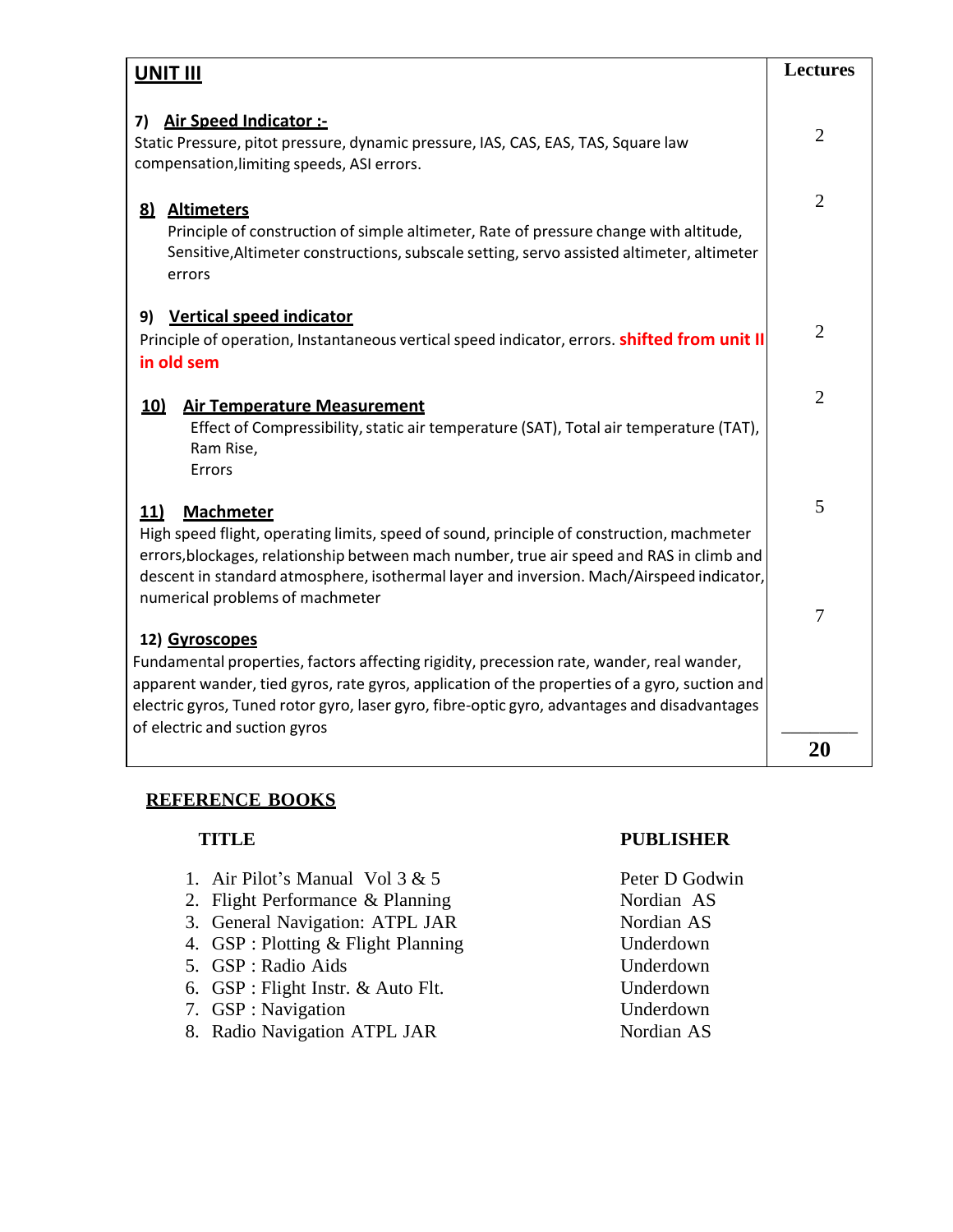| <u>UNIT III</u>                                                                                                                                                                                                                                                                                                                                 |                |
|-------------------------------------------------------------------------------------------------------------------------------------------------------------------------------------------------------------------------------------------------------------------------------------------------------------------------------------------------|----------------|
| <b>Air Speed Indicator :-</b><br>7)<br>Static Pressure, pitot pressure, dynamic pressure, IAS, CAS, EAS, TAS, Square law<br>compensation, limiting speeds, ASI errors.                                                                                                                                                                          |                |
| 8) Altimeters<br>Principle of construction of simple altimeter, Rate of pressure change with altitude,<br>Sensitive, Altimeter constructions, subscale setting, servo assisted altimeter, altimeter<br>errors                                                                                                                                   | $\overline{2}$ |
| 9) Vertical speed indicator<br>Principle of operation, Instantaneous vertical speed indicator, errors. <b>shifted from unit II</b><br>in old sem                                                                                                                                                                                                | $\overline{2}$ |
| <u>10)</u><br><b>Air Temperature Measurement</b><br>Effect of Compressibility, static air temperature (SAT), Total air temperature (TAT),<br>Ram Rise,<br>Errors                                                                                                                                                                                | $\overline{2}$ |
| <b>Machmeter</b><br>11)<br>High speed flight, operating limits, speed of sound, principle of construction, machmeter<br>errors, blockages, relationship between mach number, true air speed and RAS in climb and<br>descent in standard atmosphere, isothermal layer and inversion. Mach/Airspeed indicator,<br>numerical problems of machmeter |                |
| 12) Gyroscopes<br>Fundamental properties, factors affecting rigidity, precession rate, wander, real wander,<br>apparent wander, tied gyros, rate gyros, application of the properties of a gyro, suction and<br>electric gyros, Tuned rotor gyro, laser gyro, fibre-optic gyro, advantages and disadvantages<br>of electric and suction gyros   |                |
|                                                                                                                                                                                                                                                                                                                                                 | 20             |

- 1. Air Pilot's Manual Vol  $3 & 5$  Peter D Godwin
- 2. Flight Performance & Planning Nordian AS
- 3. General Navigation: ATPL JAR Nordian AS
- 4. GSP : Plotting & Flight Planning Underdown
- 5. GSP : Radio Aids Underdown
- 6. GSP : Flight Instr. & Auto Flt. Underdown
- 7. GSP : Navigation Underdown
- 8. Radio Navigation ATPL JAR Nordian AS

# **TITLE PUBLISHER**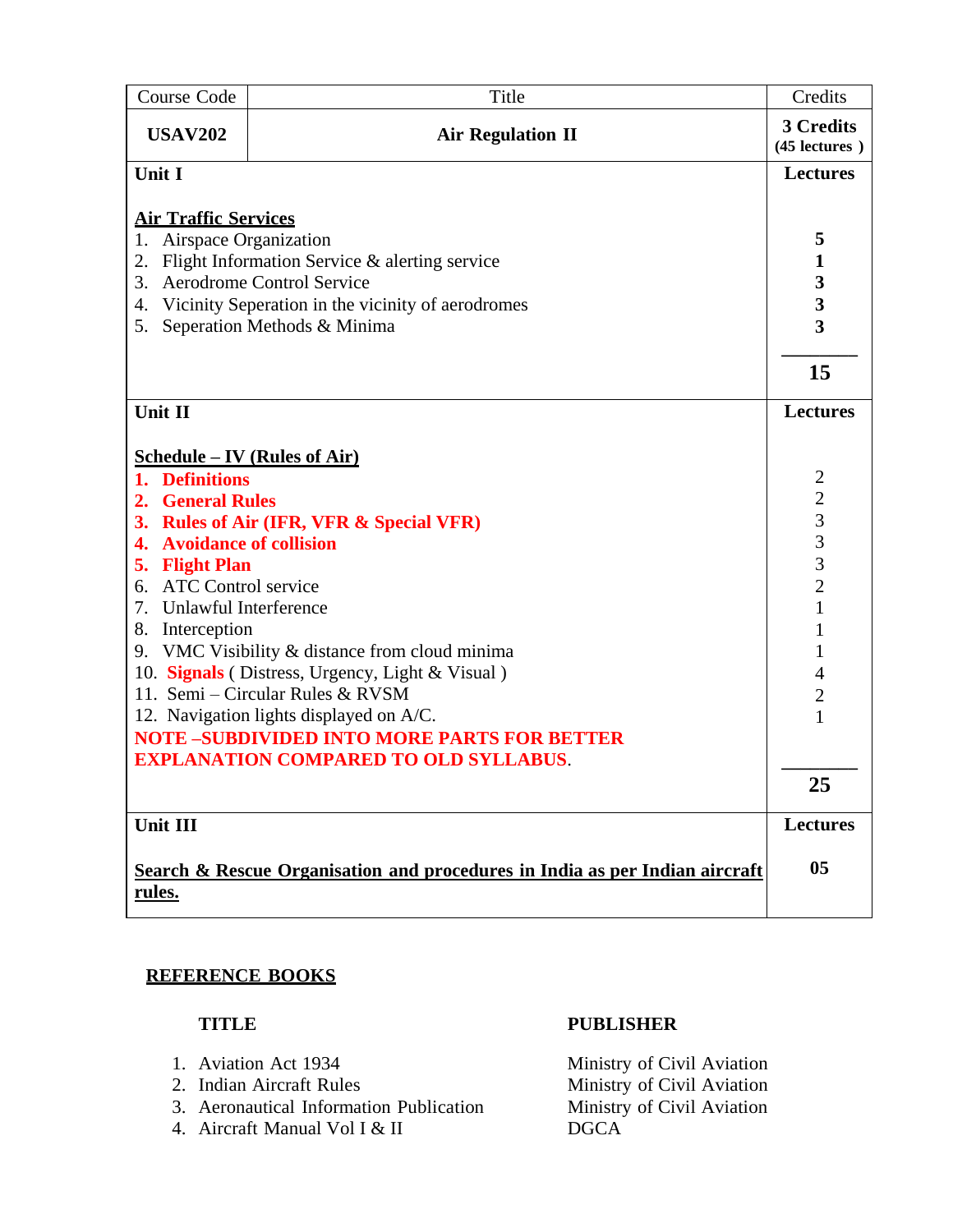| Course Code                                                                                       | Title                                                | Credits                                         |  |
|---------------------------------------------------------------------------------------------------|------------------------------------------------------|-------------------------------------------------|--|
| <b>USAV202</b>                                                                                    | <b>Air Regulation II</b>                             | 3 Credits<br>$(45$ lectures $)$                 |  |
| Unit I                                                                                            |                                                      | <b>Lectures</b>                                 |  |
|                                                                                                   |                                                      |                                                 |  |
| 1.                                                                                                | <b>Air Traffic Services</b><br>Airspace Organization |                                                 |  |
| 2.                                                                                                | Flight Information Service & alerting service        | 5<br>$\mathbf{1}$                               |  |
| 3.                                                                                                | <b>Aerodrome Control Service</b>                     | $\frac{3}{3}$                                   |  |
| 4.                                                                                                | Vicinity Seperation in the vicinity of aerodromes    |                                                 |  |
| Seperation Methods & Minima<br>5.                                                                 |                                                      |                                                 |  |
|                                                                                                   |                                                      |                                                 |  |
|                                                                                                   |                                                      | 15                                              |  |
| Unit II                                                                                           |                                                      |                                                 |  |
| <u>Schedule – IV (Rules of Air)</u>                                                               |                                                      |                                                 |  |
| 1. Definitions                                                                                    |                                                      | $\overline{2}$                                  |  |
| 2. General Rules                                                                                  |                                                      |                                                 |  |
| 3. Rules of Air (IFR, VFR & Special VFR)                                                          |                                                      |                                                 |  |
| <b>Avoidance of collision</b><br>4.                                                               |                                                      | $\begin{array}{c} 2 \\ 3 \\ 3 \\ 2 \end{array}$ |  |
| 5. Flight Plan                                                                                    |                                                      |                                                 |  |
| 6. ATC Control service                                                                            |                                                      |                                                 |  |
| 7. Unlawful Interference                                                                          |                                                      | $\overline{1}$                                  |  |
| 8. Interception                                                                                   |                                                      | 1                                               |  |
|                                                                                                   | 9. VMC Visibility & distance from cloud minima       | 1                                               |  |
|                                                                                                   | 10. Signals (Distress, Urgency, Light & Visual)      | $\overline{4}$                                  |  |
|                                                                                                   | 11. Semi - Circular Rules & RVSM                     | $\overline{c}$                                  |  |
|                                                                                                   | 12. Navigation lights displayed on A/C.              | $\mathbf{1}$                                    |  |
| <b>NOTE-SUBDIVIDED INTO MORE PARTS FOR BETTER</b><br><b>EXPLANATION COMPARED TO OLD SYLLABUS.</b> |                                                      |                                                 |  |
|                                                                                                   |                                                      |                                                 |  |
|                                                                                                   |                                                      | 25                                              |  |
| Unit III                                                                                          |                                                      | <b>Lectures</b>                                 |  |
| Search & Rescue Organisation and procedures in India as per Indian aircraft<br><u>rules.</u>      |                                                      |                                                 |  |

- 
- 
- 3. Aeronautical Information Publication
- 4. Aircraft Manual Vol I & II DGCA

## **TITLE PUBLISHER**

1. Aviation Act 1934<br>
2. Indian Aircraft Rules<br>
2. Indian Aircraft Rules<br>
2. Indian Aircraft Rules Ministry of Civil Aviation<br>Ministry of Civil Aviation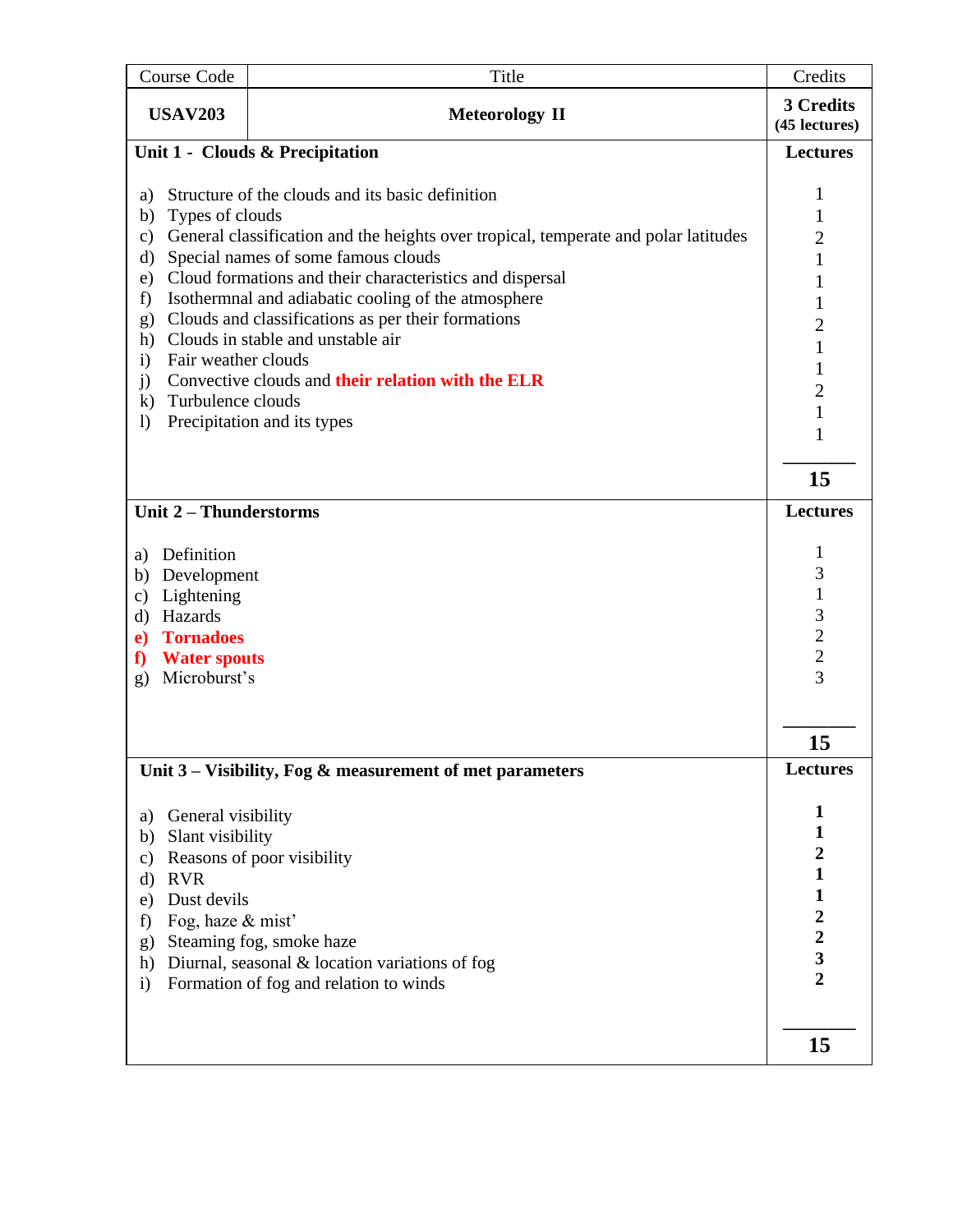|                    | Course Code<br>Title                                     |                                                                                          | Credits                                         |
|--------------------|----------------------------------------------------------|------------------------------------------------------------------------------------------|-------------------------------------------------|
|                    | <b>USAV203</b><br><b>Meteorology II</b>                  |                                                                                          | 3 Credits<br>(45 lectures)                      |
|                    |                                                          | Unit 1 - Clouds & Precipitation                                                          | <b>Lectures</b>                                 |
|                    | Structure of the clouds and its basic definition<br>a)   |                                                                                          |                                                 |
| b)                 | Types of clouds                                          |                                                                                          | $\mathbf{1}$<br>$\mathbf{1}$                    |
| $\mathbf{c})$      |                                                          | General classification and the heights over tropical, temperate and polar latitudes      | $\overline{c}$                                  |
| $\mathbf{d}$       |                                                          | Special names of some famous clouds                                                      | $\mathbf{1}$                                    |
| e)                 | Cloud formations and their characteristics and dispersal |                                                                                          |                                                 |
| f)                 |                                                          | Isothermnal and adiabatic cooling of the atmosphere                                      | $\mathbf{1}$                                    |
| g)                 |                                                          | Clouds and classifications as per their formations<br>Clouds in stable and unstable air  | $\overline{c}$                                  |
| h)<br>$\mathbf{i}$ | Fair weather clouds                                      |                                                                                          | $\mathbf{1}$                                    |
| j)                 |                                                          | Convective clouds and their relation with the ELR                                        | $\mathbf{1}$                                    |
| $\mathbf{k}$       | Turbulence clouds                                        |                                                                                          | $\overline{c}$                                  |
| $\left( \right)$   |                                                          | Precipitation and its types                                                              | $\mathbf{1}$                                    |
|                    |                                                          |                                                                                          | 1                                               |
|                    |                                                          |                                                                                          | 15                                              |
|                    | Unit 2 - Thunderstorms                                   |                                                                                          | <b>Lectures</b>                                 |
| a)                 | Definition                                               |                                                                                          | 1                                               |
| b)                 | Development                                              |                                                                                          | 3                                               |
| c)                 | Lightening                                               |                                                                                          | $\mathbf{1}$                                    |
| $\mathbf{d}$       | Hazards                                                  |                                                                                          |                                                 |
| e)                 | <b>Tornadoes</b>                                         |                                                                                          | $\begin{array}{c} 3 \\ 2 \\ 2 \end{array}$      |
| f                  | <b>Water spouts</b>                                      |                                                                                          |                                                 |
|                    | Microburst's<br>g)                                       |                                                                                          | $\overline{3}$                                  |
|                    |                                                          |                                                                                          |                                                 |
|                    |                                                          |                                                                                          | 15                                              |
|                    |                                                          | Unit $3$ – Visibility, Fog & measurement of met parameters                               | <b>Lectures</b>                                 |
| a)                 | General visibility                                       |                                                                                          | 1                                               |
| b)                 | Slant visibility                                         |                                                                                          | $\mathbf{1}$                                    |
| $\mathbf{c})$      |                                                          | Reasons of poor visibility                                                               | $\overline{\mathbf{c}}$                         |
| $\mathbf{d}$       | <b>RVR</b>                                               |                                                                                          | $\mathbf{1}$                                    |
| e)                 | Dust devils                                              |                                                                                          | $\mathbf{1}$                                    |
| f)                 | Fog, haze & mist'                                        |                                                                                          | $\begin{array}{c} 2 \\ 2 \\ 3 \\ 2 \end{array}$ |
| g)                 |                                                          | Steaming fog, smoke haze                                                                 |                                                 |
| h)<br>$\mathbf{i}$ |                                                          | Diurnal, seasonal & location variations of fog<br>Formation of fog and relation to winds |                                                 |
|                    |                                                          |                                                                                          |                                                 |
|                    |                                                          |                                                                                          |                                                 |
|                    |                                                          |                                                                                          | 15                                              |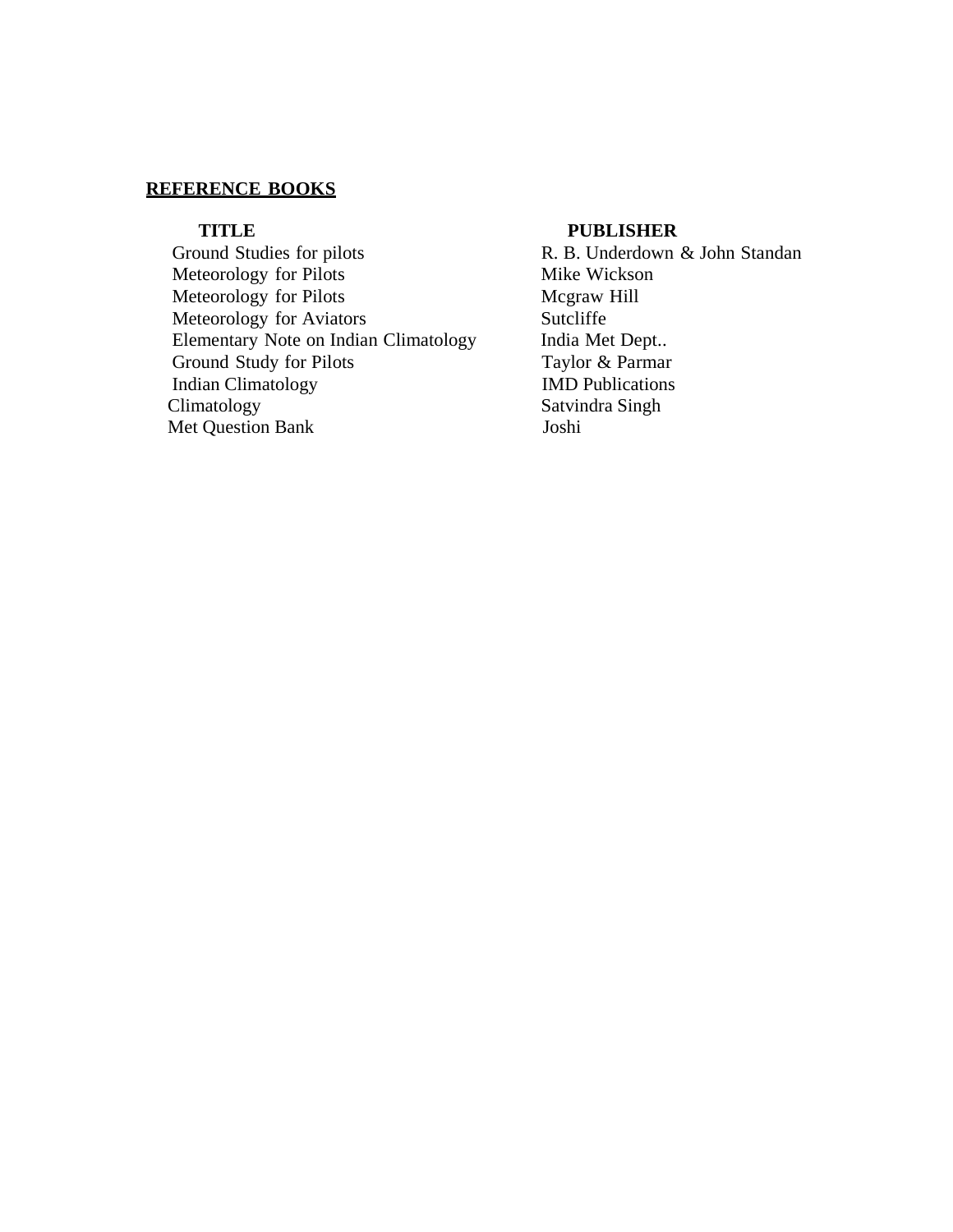Ground Studies for pilots R. B. Underdown & John Standan Meteorology for Pilots Mike Wickson Meteorology for Pilots Mcgraw Hill Meteorology for Aviators Sutcliffe Elementary Note on Indian Climatology India Met Dept..<br>
Ground Study for Pilots Taylor & Parmar Ground Study for Pilots Indian Climatology **IMD Publications**<br>Climatology **Saturda** Singh Met Question Bank Joshi

### **TITLE PUBLISHER**

Satvindra Singh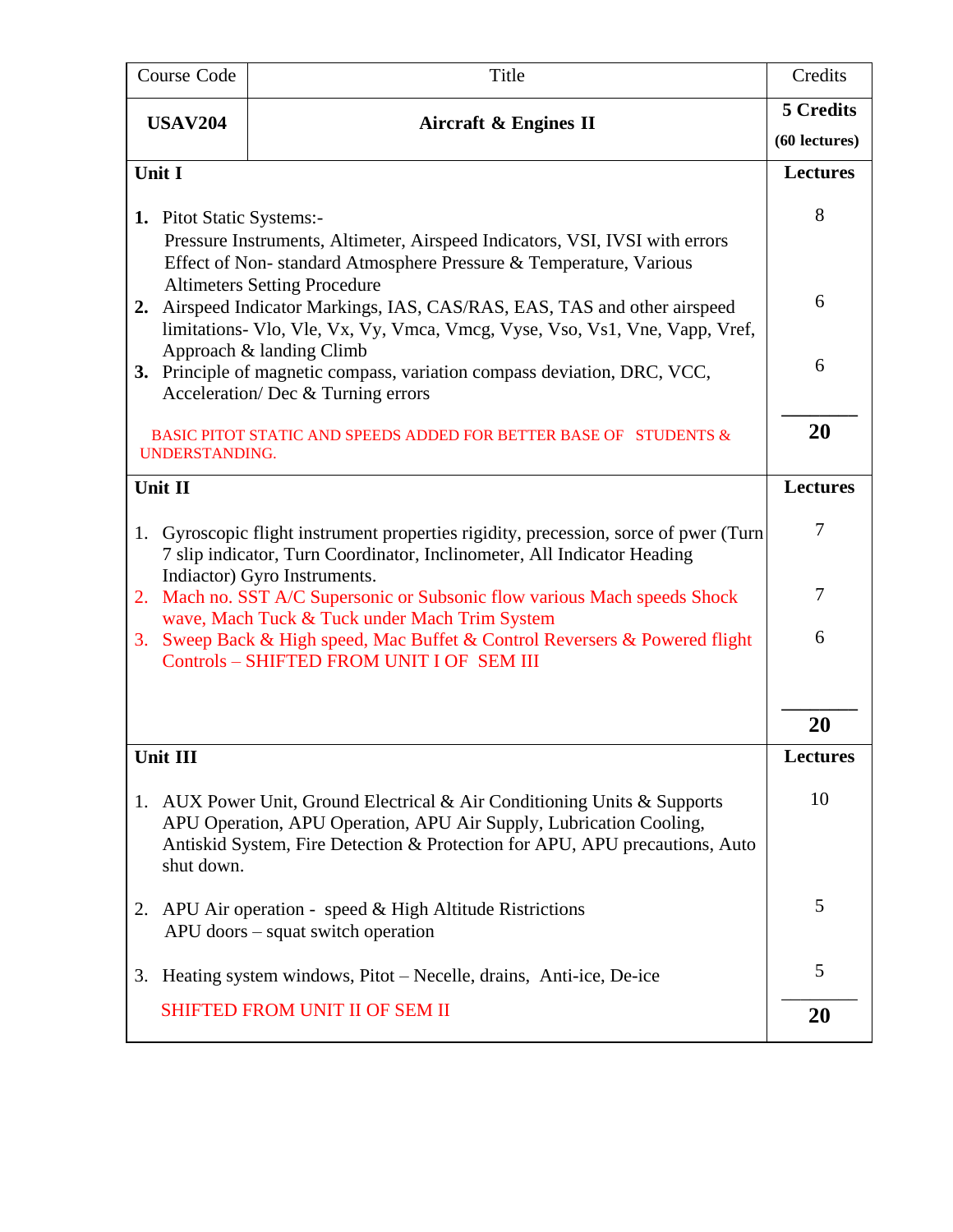|                                                                                                                                                                                                    | Course Code                                                                                                                                                            | Title                                                                                                                                                                                                                      | Credits         |
|----------------------------------------------------------------------------------------------------------------------------------------------------------------------------------------------------|------------------------------------------------------------------------------------------------------------------------------------------------------------------------|----------------------------------------------------------------------------------------------------------------------------------------------------------------------------------------------------------------------------|-----------------|
|                                                                                                                                                                                                    | <b>USAV204</b>                                                                                                                                                         | <b>Aircraft &amp; Engines II</b>                                                                                                                                                                                           | 5 Credits       |
|                                                                                                                                                                                                    |                                                                                                                                                                        |                                                                                                                                                                                                                            | (60 lectures)   |
| Unit I                                                                                                                                                                                             |                                                                                                                                                                        |                                                                                                                                                                                                                            | <b>Lectures</b> |
|                                                                                                                                                                                                    | 1. Pitot Static Systems:-                                                                                                                                              |                                                                                                                                                                                                                            | 8               |
|                                                                                                                                                                                                    |                                                                                                                                                                        | Pressure Instruments, Altimeter, Airspeed Indicators, VSI, IVSI with errors<br>Effect of Non-standard Atmosphere Pressure & Temperature, Various<br><b>Altimeters Setting Procedure</b>                                    |                 |
| 2.                                                                                                                                                                                                 |                                                                                                                                                                        | Airspeed Indicator Markings, IAS, CAS/RAS, EAS, TAS and other airspeed<br>limitations- Vlo, Vle, Vx, Vy, Vmca, Vmcg, Vyse, Vso, Vs1, Vne, Vapp, Vref,                                                                      | 6               |
|                                                                                                                                                                                                    |                                                                                                                                                                        | Approach & landing Climb<br>3. Principle of magnetic compass, variation compass deviation, DRC, VCC,<br>Acceleration/Dec & Turning errors                                                                                  | 6               |
|                                                                                                                                                                                                    | UNDERSTANDING.                                                                                                                                                         | BASIC PITOT STATIC AND SPEEDS ADDED FOR BETTER BASE OF STUDENTS &                                                                                                                                                          | 20              |
| Unit II                                                                                                                                                                                            |                                                                                                                                                                        |                                                                                                                                                                                                                            | <b>Lectures</b> |
| Gyroscopic flight instrument properties rigidity, precession, sorce of pwer (Turn<br>1.<br>7 slip indicator, Turn Coordinator, Inclinometer, All Indicator Heading<br>Indiactor) Gyro Instruments. |                                                                                                                                                                        |                                                                                                                                                                                                                            | $\tau$          |
| 2.                                                                                                                                                                                                 |                                                                                                                                                                        | Mach no. SST A/C Supersonic or Subsonic flow various Mach speeds Shock                                                                                                                                                     | 7               |
| 3.                                                                                                                                                                                                 | wave, Mach Tuck & Tuck under Mach Trim System<br>Sweep Back & High speed, Mac Buffet & Control Reversers & Powered flight<br>Controls - SHIFTED FROM UNIT I OF SEM III |                                                                                                                                                                                                                            | 6               |
|                                                                                                                                                                                                    |                                                                                                                                                                        |                                                                                                                                                                                                                            | 20              |
| Unit III                                                                                                                                                                                           |                                                                                                                                                                        |                                                                                                                                                                                                                            | Lectures        |
| 1.                                                                                                                                                                                                 | shut down.                                                                                                                                                             | AUX Power Unit, Ground Electrical & Air Conditioning Units & Supports<br>APU Operation, APU Operation, APU Air Supply, Lubrication Cooling,<br>Antiskid System, Fire Detection & Protection for APU, APU precautions, Auto | 10              |
|                                                                                                                                                                                                    |                                                                                                                                                                        | 2. APU Air operation - speed & High Altitude Ristrictions<br>APU doors – squat switch operation                                                                                                                            | 5               |
| 3.                                                                                                                                                                                                 |                                                                                                                                                                        | Heating system windows, Pitot – Necelle, drains, Anti-ice, De-ice                                                                                                                                                          | 5               |
|                                                                                                                                                                                                    |                                                                                                                                                                        | <b>SHIFTED FROM UNIT II OF SEM II</b>                                                                                                                                                                                      | 20              |